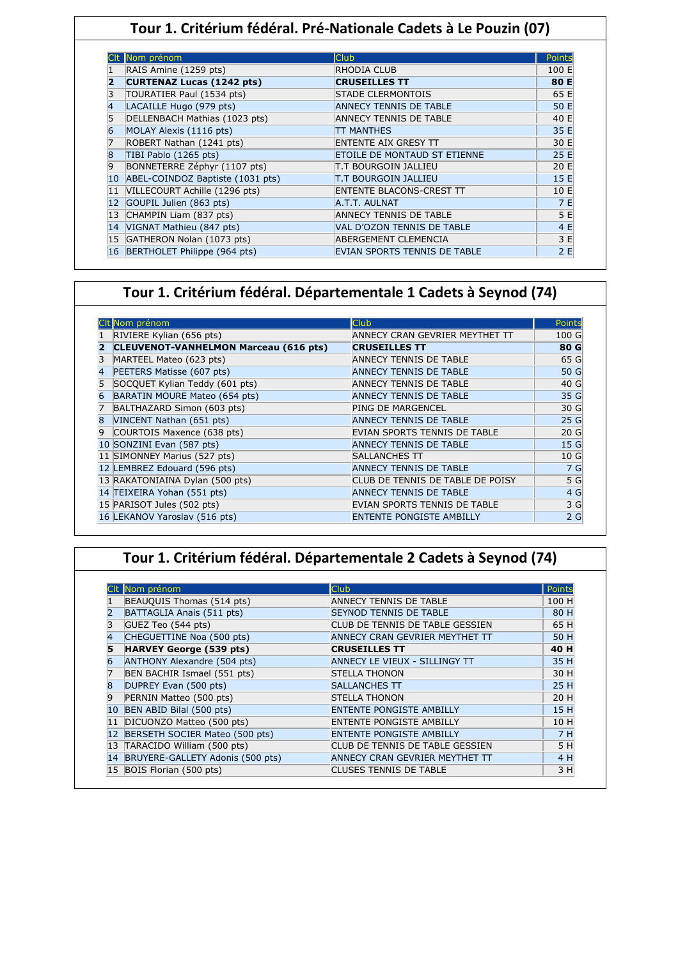## **Tour 1. Critérium fédéral. Pré-Nationale Cadets à Le Pouzin (07)**

|    | Nom prénom                       | <b>Club</b>                     | Points |
|----|----------------------------------|---------------------------------|--------|
|    | RAIS Amine (1259 pts)            | RHODIA CLUB                     | 100 E  |
| 2  | <b>CURTENAZ Lucas (1242 pts)</b> | <b>CRUSEILLES TT</b>            | 80 E   |
| 3  | TOURATIER Paul (1534 pts)        | <b>STADE CLERMONTOIS</b>        | 65 E   |
| 4  | LACAILLE Hugo (979 pts)          | <b>ANNECY TENNIS DE TABLE</b>   | 50 E   |
| 5  | DELLENBACH Mathias (1023 pts)    | ANNECY TENNIS DE TABLE          | 40 E   |
| 6  | MOLAY Alexis (1116 pts)          | <b>TT MANTHES</b>               | 35 E   |
|    | ROBERT Nathan (1241 pts)         | <b>ENTENTE AIX GRESY TT</b>     | 30 E   |
| 8  | TIBI Pablo (1265 pts)            | ETOILE DE MONTAUD ST ETIENNE    | 25 E   |
| 9  | BONNETERRE Zéphyr (1107 pts)     | T.T BOURGOIN JALLIEU            | 20 E   |
| 10 | ABEL-COINDOZ Baptiste (1031 pts) | T.T BOURGOIN JALLIEU            | 15 E   |
| 11 | VILLECOURT Achille (1296 pts)    | <b>ENTENTE BLACONS-CREST TT</b> | 10 E   |
|    | GOUPIL Julien (863 pts)          | A.T.T. AULNAT                   | 7 E    |
|    | CHAMPIN Liam (837 pts)           | ANNECY TENNIS DE TABLE          | 5 E    |
| 14 | VIGNAT Mathieu (847 pts)         | VAL D'OZON TENNIS DE TABLE      | 4 E    |
|    | GATHERON Nolan (1073 pts)        | ABERGEMENT CLEMENCIA            | 3 E    |
| 16 | BERTHOLET Philippe (964 pts)     | EVIAN SPORTS TENNIS DE TABLE    | 2E     |

## **Tour 1. Critérium fédéral. Départementale 1 Cadets à Seynod (74)**

|              | CIt Nom prénom                               | Club                             | Points          |
|--------------|----------------------------------------------|----------------------------------|-----------------|
|              | RIVIERE Kylian (656 pts)                     | ANNECY CRAN GEVRIER MEYTHET TT   | 100 G           |
|              | <b>CLEUVENOT-VANHELMON Marceau (616 pts)</b> | <b>CRUSEILLES TT</b>             | 80 G            |
|              | MARTEEL Mateo (623 pts)                      | ANNECY TENNIS DE TABLE           | 65 G            |
|              | PEETERS Matisse (607 pts)                    | <b>ANNECY TENNIS DE TABLE</b>    | 50 G            |
|              | SOCQUET Kylian Teddy (601 pts)               | ANNECY TENNIS DE TABLE           | 40 G            |
| 6            | BARATIN MOURE Mateo (654 pts)                | <b>ANNECY TENNIS DE TABLE</b>    | 35 G            |
|              | BALTHAZARD Simon (603 pts)                   | PING DE MARGENCEL                | 30 G            |
| $\mathbf{8}$ | VINCENT Nathan (651 pts)                     | <b>ANNECY TENNIS DE TABLE</b>    | 25 <sub>G</sub> |
| 9            | COURTOIS Maxence (638 pts)                   | EVIAN SPORTS TENNIS DE TABLE     | 20 <sub>G</sub> |
|              | 10 SONZINI Evan (587 pts)                    | <b>ANNECY TENNIS DE TABLE</b>    | 15 <sub>G</sub> |
|              | 11 SIMONNEY Marius (527 pts)                 | <b>SALLANCHES TT</b>             | 10G             |
|              | 12 LEMBREZ Edouard (596 pts)                 | <b>ANNECY TENNIS DE TABLE</b>    | 7 G             |
|              | 13 RAKATONIAINA Dylan (500 pts)              | CLUB DE TENNIS DE TABLE DE POISY | 5 G             |
|              | 14 TEIXEIRA Yohan (551 pts)                  | <b>ANNECY TENNIS DE TABLE</b>    | 4 G             |
|              | 15 PARISOT Jules (502 pts)                   | EVIAN SPORTS TENNIS DE TABLE     | 3 G             |
|              | 16 LEKANOV Yaroslav (516 pts)                | <b>ENTENTE PONGISTE AMBILLY</b>  | 2 <sub>G</sub>  |

# **Tour 1. Critérium fédéral. Départementale 2 Cadets à Seynod (74)**

|    | Clt Nom prénom                   | Club                            | Points |
|----|----------------------------------|---------------------------------|--------|
|    | BEAUQUIS Thomas (514 pts)        | <b>ANNECY TENNIS DE TABLE</b>   | 100 H  |
|    | BATTAGLIA Anais (511 pts)        | <b>SEYNOD TENNIS DE TABLE</b>   | 80 H   |
|    | GUEZ Teo (544 pts)               | CLUB DE TENNIS DE TABLE GESSIEN | 65 H   |
| 4  | CHEGUETTINE Noa (500 pts)        | ANNECY CRAN GEVRIER MEYTHET TT  | 50 H   |
|    | <b>HARVEY George (539 pts)</b>   | <b>CRUSEILLES TT</b>            | 40 H   |
|    | ANTHONY Alexandre (504 pts)      | ANNECY LE VIEUX - SILLINGY TT   | 35 H   |
|    | BEN BACHIR Ismael (551 pts)      | <b>STELLA THONON</b>            | 30 H   |
| 8  | DUPREY Evan (500 pts)            | <b>SALLANCHES TT</b>            | 25 H   |
| 9  | PERNIN Matteo (500 pts)          | <b>STELLA THONON</b>            | 20 H   |
| 10 | BEN ABID Bilal (500 pts)         | <b>ENTENTE PONGISTE AMBILLY</b> | 15 H   |
| 11 | DICUONZO Matteo (500 pts)        | <b>ENTENTE PONGISTE AMBILLY</b> | 10 H   |
| 12 | BERSETH SOCIER Mateo (500 pts)   | <b>ENTENTE PONGISTE AMBILLY</b> | 7H     |
| 13 | TARACIDO William (500 pts)       | CLUB DE TENNIS DE TABLE GESSIEN | 5 H    |
| 14 | BRUYERE-GALLETY Adonis (500 pts) | ANNECY CRAN GEVRIER MEYTHET TT  | 4 H    |
|    | 15 BOIS Florian (500 pts)        | <b>CLUSES TENNIS DE TABLE</b>   | 3 H    |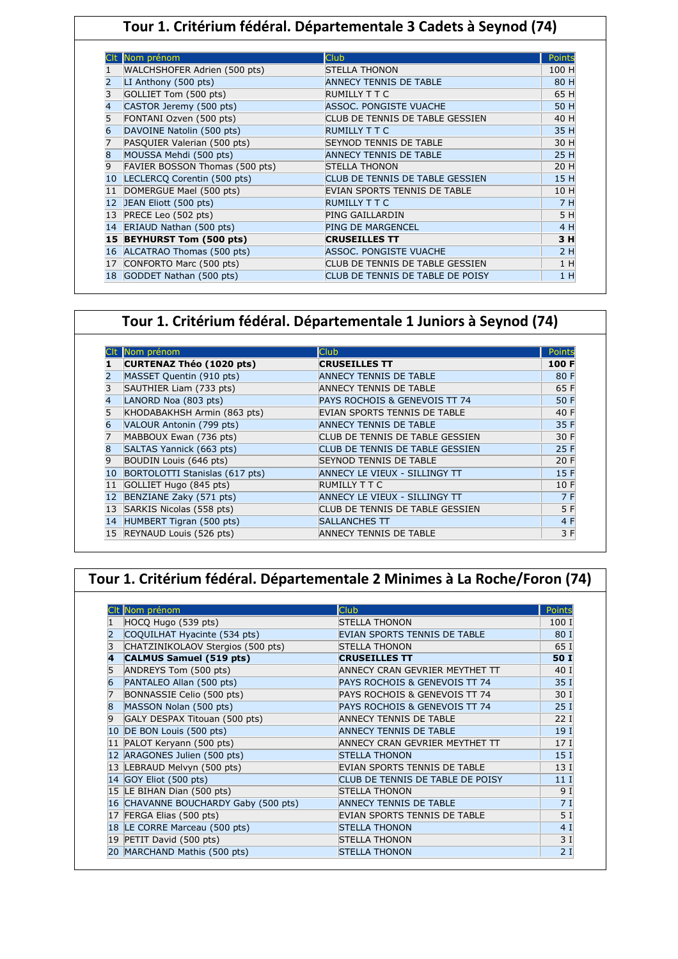## **Tour 1. Critérium fédéral. Départementale 3 Cadets à Seynod (74)**

|                   | Nom prénom                     | <b>Club</b>                      | Points |
|-------------------|--------------------------------|----------------------------------|--------|
|                   | WALCHSHOFER Adrien (500 pts)   | <b>STELLA THONON</b>             | 100 H  |
| 2                 | LI Anthony (500 pts)           | <b>ANNECY TENNIS DE TABLE</b>    | 80 H   |
| 3                 | GOLLIET Tom (500 pts)          | RUMILLY T T C                    | 65 H   |
| 4                 | CASTOR Jeremy (500 pts)        | <b>ASSOC. PONGISTE VUACHE</b>    | 50 H   |
| 5                 | FONTANI Ozven (500 pts)        | CLUB DE TENNIS DE TABLE GESSIEN  | 40 H   |
| 6                 | DAVOINE Natolin (500 pts)      | <b>RUMILLY TTC</b>               | 35 H   |
| 7                 | PASQUIER Valerian (500 pts)    | <b>SEYNOD TENNIS DE TABLE</b>    | 30 H   |
| 8                 | MOUSSA Mehdi (500 pts)         | <b>ANNECY TENNIS DE TABLE</b>    | 25 H   |
| 9                 | FAVIER BOSSON Thomas (500 pts) | <b>STELLA THONON</b>             | 20 H   |
| 10                | LECLERCQ Corentin (500 pts)    | CLUB DE TENNIS DE TABLE GESSIEN  | 15 H   |
| 11                | DOMERGUE Mael (500 pts)        | EVIAN SPORTS TENNIS DE TABLE     | 10 H   |
| $12 \overline{ }$ | JEAN Eliott (500 pts)          | <b>RUMILLY T T C</b>             | 7 H    |
|                   | PRECE Leo (502 pts)            | PING GAILLARDIN                  | 5 H    |
|                   | ERIAUD Nathan (500 pts)        | <b>PING DE MARGENCEL</b>         | 4 H    |
|                   | 15 BEYHURST Tom (500 pts)      | <b>CRUSEILLES TT</b>             | 3 H    |
|                   | ALCATRAO Thomas (500 pts)      | <b>ASSOC. PONGISTE VUACHE</b>    | 2H     |
| 17                | CONFORTO Marc (500 pts)        | CLUB DE TENNIS DE TABLE GESSIEN  | 1H     |
| 18                | GODDET Nathan (500 pts)        | CLUB DE TENNIS DE TABLE DE POISY | 1 H    |

## **Tour 1. Critérium fédéral. Départementale 1 Juniors à Seynod (74)**

|    | Nom prénom                     | <b>Club</b>                     | Points |
|----|--------------------------------|---------------------------------|--------|
|    | CURTENAZ Théo (1020 pts)       | <b>CRUSEILLES TT</b>            | 100 F  |
|    | MASSET Quentin (910 pts)       | <b>ANNECY TENNIS DE TABLE</b>   | 80 F   |
| 3  | SAUTHIER Liam (733 pts)        | <b>ANNECY TENNIS DE TABLE</b>   | 65 F   |
| 4  | LANORD Noa (803 pts)           | PAYS ROCHOIS & GENEVOIS TT 74   | 50 F   |
| 5  | KHODABAKHSH Armin (863 pts)    | EVIAN SPORTS TENNIS DE TABLE    | 40 F   |
| 6  | VALOUR Antonin (799 pts)       | <b>ANNECY TENNIS DE TABLE</b>   | 35 F   |
| 7  | MABBOUX Ewan (736 pts)         | CLUB DE TENNIS DE TABLE GESSIEN | 30 F   |
| 8  | SALTAS Yannick (663 pts)       | CLUB DE TENNIS DE TABLE GESSIEN | 25 F   |
| 9  | BOUDIN Louis (646 pts)         | <b>SEYNOD TENNIS DE TABLE</b>   | 20 F   |
| 10 | BORTOLOTTI Stanislas (617 pts) | ANNECY LE VIEUX - SILLINGY TT   | 15 F   |
| 11 | GOLLIET Hugo (845 pts)         | <b>RUMILLY T T C</b>            | 10 F   |
| 12 | BENZIANE Zaky (571 pts)        | ANNECY LE VIEUX - SILLINGY TT   | 7 F    |
| 13 | SARKIS Nicolas (558 pts)       | CLUB DE TENNIS DE TABLE GESSIEN | 5 F    |
| 14 | HUMBERT Tigran (500 pts)       | <b>SALLANCHES TT</b>            | 4 F    |
|    | 15 REYNAUD Louis (526 pts)     | <b>ANNECY TENNIS DE TABLE</b>   | 3 F    |

#### **Tour 1. Critérium fédéral. Départementale 2 Minimes à La Roche/Foron (74)**

|    | CIt Nom prénom                    | <b>Club</b>                      | Points          |
|----|-----------------------------------|----------------------------------|-----------------|
|    | HOCQ Hugo (539 pts)               | <b>STELLA THONON</b>             | 100 I           |
|    | COQUILHAT Hyacinte (534 pts)      | EVIAN SPORTS TENNIS DE TABLE     | 80 I            |
| 3  | CHATZINIKOLAOV Stergios (500 pts) | <b>STELLA THONON</b>             | 65 I            |
| 4  | <b>CALMUS Samuel (519 pts)</b>    | <b>CRUSEILLES TT</b>             | 50 I            |
|    | ANDREYS Tom (500 pts)             | ANNECY CRAN GEVRIER MEYTHET TT   | 40 I            |
|    | PANTALEO Allan (500 pts)          | PAYS ROCHOIS & GENEVOIS TT 74    | 35 I            |
|    | BONNASSIE Celio (500 pts)         | PAYS ROCHOIS & GENEVOIS TT 74    | 30 I            |
|    | MASSON Nolan (500 pts)            | PAYS ROCHOIS & GENEVOIS TT 74    | 25I             |
| 9  | GALY DESPAX Titouan (500 pts)     | <b>ANNECY TENNIS DE TABLE</b>    | 22I             |
| 10 | DE BON Louis (500 pts)            | <b>ANNECY TENNIS DE TABLE</b>    | 19 <sub>1</sub> |
| 11 | PALOT Keryann (500 pts)           | ANNECY CRAN GEVRIER MEYTHET TT   | 17 <sub>I</sub> |
|    | ARAGONES Julien (500 pts)         | <b>STELLA THONON</b>             | 15 <sub>1</sub> |
| 13 | LEBRAUD Melvyn (500 pts)          | EVIAN SPORTS TENNIS DE TABLE     | 13 <sub>1</sub> |
|    | 14 GOY Eliot (500 pts)            | CLUB DE TENNIS DE TABLE DE POISY | 11 <sub>1</sub> |
| 15 | LE BIHAN Dian (500 pts)           | STELLA THONON                    | 9 I             |
| 16 | CHAVANNE BOUCHARDY Gaby (500 pts) | <b>ANNECY TENNIS DE TABLE</b>    | 7 I             |
| 17 | FERGA Elias (500 pts)             | EVIAN SPORTS TENNIS DE TABLE     | 5 I             |
| 18 | LE CORRE Marceau (500 pts)        | <b>STELLA THONON</b>             | 4 I             |
| 19 | PETIT David (500 pts)             | <b>STELLA THONON</b>             | 3I              |
| 20 | MARCHAND Mathis (500 pts)         | <b>STELLA THONON</b>             | 2I              |

Ι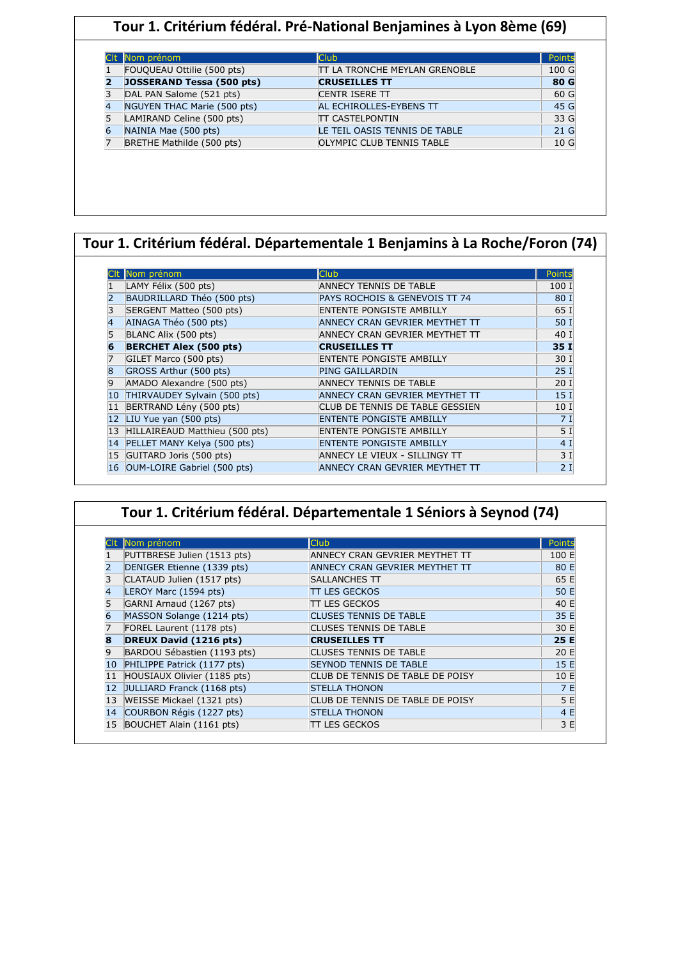## **Tour 1. Critérium fédéral. Pré-National Benjamines à Lyon 8ème (69)**

|   | Nom prénom                  | <b>Club</b>                          | Points          |
|---|-----------------------------|--------------------------------------|-----------------|
|   | FOUQUEAU Ottilie (500 pts)  | <b>TT LA TRONCHE MEYLAN GRENOBLE</b> | 100 G           |
|   | JOSSERAND Tessa (500 pts)   | <b>CRUSEILLES TT</b>                 | 80 G            |
| 3 | DAL PAN Salome (521 pts)    | <b>CENTR ISERE TT</b>                | 60 G            |
| 4 | NGUYEN THAC Marie (500 pts) | AL ECHIROLLES-EYBENS TT              | 45 G            |
|   | LAMIRAND Celine (500 pts)   | <b>TT CASTELPONTIN</b>               | 33 G            |
|   | NAINIA Mae (500 pts)        | LE TEIL OASIS TENNIS DE TABLE        | 21 <sub>G</sub> |
|   | BRETHE Mathilde (500 pts)   | <b>OLYMPIC CLUB TENNIS TABLE</b>     | 10 <sub>G</sub> |

## **Tour 1. Critérium fédéral. Départementale 1 Benjamins à La Roche/Foron (74)**

|    | Nom prénom                     | <b>Club</b>                     | Points          |
|----|--------------------------------|---------------------------------|-----------------|
|    | LAMY Félix (500 pts)           | ANNECY TENNIS DE TABLE          | 100 I           |
|    | BAUDRILLARD Théo (500 pts)     | PAYS ROCHOIS & GENEVOIS TT 74   | 80 I            |
|    | SERGENT Matteo (500 pts)       | <b>ENTENTE PONGISTE AMBILLY</b> | 65 I            |
| 4  | AINAGA Théo (500 pts)          | ANNECY CRAN GEVRIER MEYTHET TT  | 50 I            |
|    | BLANC Alix (500 pts)           | ANNECY CRAN GEVRIER MEYTHET TT  | 40 I            |
| 6  | <b>BERCHET Alex (500 pts)</b>  | <b>CRUSEILLES TT</b>            | 35 I            |
|    | GILET Marco (500 pts)          | <b>ENTENTE PONGISTE AMBILLY</b> | 30 I            |
|    | GROSS Arthur (500 pts)         | PING GAILLARDIN                 | 25I             |
| 9  | AMADO Alexandre (500 pts)      | <b>ANNECY TENNIS DE TABLE</b>   | 20I             |
| 10 | THIRVAUDEY Sylvain (500 pts)   | ANNECY CRAN GEVRIER MEYTHET TT  | 15 <sub>1</sub> |
| 11 | BERTRAND Lény (500 pts)        | CLUB DE TENNIS DE TABLE GESSIEN | 10 I            |
| 12 | LIU Yue yan (500 pts)          | <b>ENTENTE PONGISTE AMBILLY</b> | 7 I             |
| 13 | HILLAIREAUD Matthieu (500 pts) | <b>ENTENTE PONGISTE AMBILLY</b> | 5 <sub>I</sub>  |
| 14 | PELLET MANY Kelya (500 pts)    | <b>ENTENTE PONGISTE AMBILLY</b> | 4 I             |
| 15 | GUITARD Joris (500 pts)        | ANNECY LE VIEUX - SILLINGY TT   | 3I              |
| 16 | OUM-LOIRE Gabriel (500 pts)    | ANNECY CRAN GEVRIER MEYTHET TT  | 2I              |

|    | Nom prénom                    | <b>Club</b>                      | Points |  |
|----|-------------------------------|----------------------------------|--------|--|
|    | PUTTBRESE Julien (1513 pts)   | ANNECY CRAN GEVRIER MEYTHET TT   | 100 E  |  |
|    | DENIGER Etienne (1339 pts)    | ANNECY CRAN GEVRIER MEYTHET TT   | 80 E   |  |
|    | CLATAUD Julien (1517 pts)     | SALLANCHES TT                    | 65 E   |  |
|    | LEROY Marc (1594 pts)         | TT LES GECKOS                    | 50 E   |  |
|    | GARNI Arnaud (1267 pts)       | <b>TT LES GECKOS</b>             | 40 E   |  |
|    | MASSON Solange (1214 pts)     | <b>CLUSES TENNIS DE TABLE</b>    | 35 E   |  |
|    | FOREL Laurent (1178 pts)      | <b>CLUSES TENNIS DE TABLE</b>    | 30 E   |  |
|    | <b>DREUX David (1216 pts)</b> | <b>CRUSEILLES TT</b>             | 25 E   |  |
|    | BARDOU Sébastien (1193 pts)   | CLUSES TENNIS DE TABLE           | 20 E   |  |
| 10 | PHILIPPE Patrick (1177 pts)   | <b>SEYNOD TENNIS DE TABLE</b>    | 15 E   |  |
|    | HOUSIAUX Olivier (1185 pts)   | CLUB DE TENNIS DE TABLE DE POISY | 10 E   |  |
| 12 | JULLIARD Franck (1168 pts)    | <b>STELLA THONON</b>             | 7E     |  |
| 13 | WEISSE Mickael (1321 pts)     | CLUB DE TENNIS DE TABLE DE POISY | 5 E    |  |
| 14 | COURBON Régis (1227 pts)      | <b>STELLA THONON</b>             | 4 E    |  |
| 15 | BOUCHET Alain (1161 pts)      | <b>TT LES GECKOS</b>             | 3 E    |  |